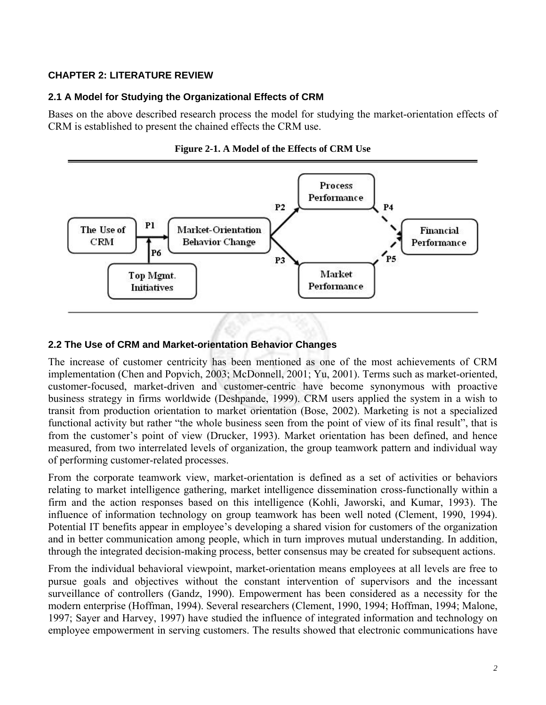# **CHAPTER 2: LITERATURE REVIEW**

# **2.1 A Model for Studying the Organizational Effects of CRM**

Bases on the above described research process the model for studying the market-orientation effects of CRM is established to present the chained effects the CRM use.





# **2.2 The Use of CRM and Market-orientation Behavior Changes**

The increase of customer centricity has been mentioned as one of the most achievements of CRM implementation (Chen and Popvich, 2003; McDonnell, 2001; Yu, 2001). Terms such as market-oriented, customer-focused, market-driven and customer-centric have become synonymous with proactive business strategy in firms worldwide (Deshpande, 1999). CRM users applied the system in a wish to transit from production orientation to market orientation (Bose, 2002). Marketing is not a specialized functional activity but rather "the whole business seen from the point of view of its final result", that is from the customer's point of view (Drucker, 1993). Market orientation has been defined, and hence measured, from two interrelated levels of organization, the group teamwork pattern and individual way of performing customer-related processes.

From the corporate teamwork view, market-orientation is defined as a set of activities or behaviors relating to market intelligence gathering, market intelligence dissemination cross-functionally within a firm and the action responses based on this intelligence (Kohli, Jaworski, and Kumar, 1993). The influence of information technology on group teamwork has been well noted (Clement, 1990, 1994). Potential IT benefits appear in employee's developing a shared vision for customers of the organization and in better communication among people, which in turn improves mutual understanding. In addition, through the integrated decision-making process, better consensus may be created for subsequent actions.

From the individual behavioral viewpoint, market-orientation means employees at all levels are free to pursue goals and objectives without the constant intervention of supervisors and the incessant surveillance of controllers (Gandz, 1990). Empowerment has been considered as a necessity for the modern enterprise (Hoffman, 1994). Several researchers (Clement, 1990, 1994; Hoffman, 1994; Malone, 1997; Sayer and Harvey, 1997) have studied the influence of integrated information and technology on employee empowerment in serving customers. The results showed that electronic communications have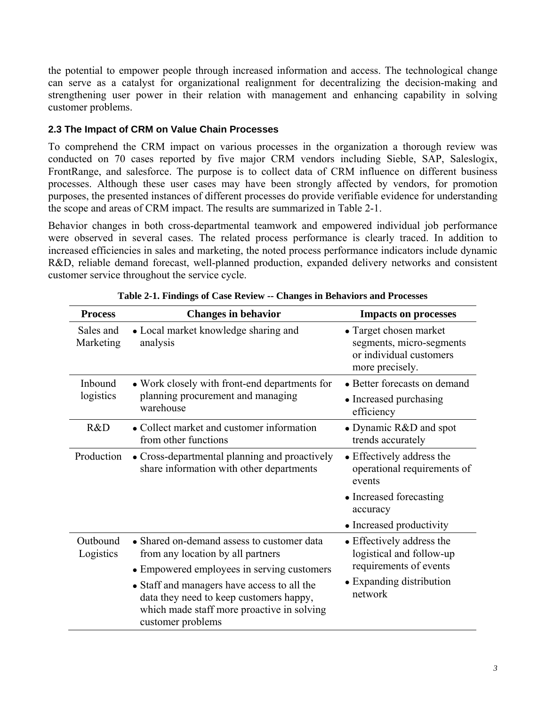the potential to empower people through increased information and access. The technological change can serve as a catalyst for organizational realignment for decentralizing the decision-making and strengthening user power in their relation with management and enhancing capability in solving customer problems.

# **2.3 The Impact of CRM on Value Chain Processes**

To comprehend the CRM impact on various processes in the organization a thorough review was conducted on 70 cases reported by five major CRM vendors including Sieble, SAP, Saleslogix, FrontRange, and salesforce. The purpose is to collect data of CRM influence on different business processes. Although these user cases may have been strongly affected by vendors, for promotion purposes, the presented instances of different processes do provide verifiable evidence for understanding the scope and areas of CRM impact. The results are summarized in Table 2-1.

Behavior changes in both cross-departmental teamwork and empowered individual job performance were observed in several cases. The related process performance is clearly traced. In addition to increased efficiencies in sales and marketing, the noted process performance indicators include dynamic R&D, reliable demand forecast, well-planned production, expanded delivery networks and consistent customer service throughout the service cycle.

| <b>Process</b>         | <b>Changes in behavior</b>                                                                                                                                | <b>Impacts on processes</b>                                                                                            |
|------------------------|-----------------------------------------------------------------------------------------------------------------------------------------------------------|------------------------------------------------------------------------------------------------------------------------|
| Sales and<br>Marketing | • Local market knowledge sharing and<br>analysis                                                                                                          | • Target chosen market<br>segments, micro-segments<br>or individual customers<br>more precisely.                       |
| Inbound<br>logistics   | • Work closely with front-end departments for<br>planning procurement and managing<br>warehouse                                                           | • Better forecasts on demand                                                                                           |
|                        |                                                                                                                                                           | • Increased purchasing<br>efficiency                                                                                   |
| R&D                    | • Collect market and customer information<br>from other functions                                                                                         | • Dynamic R&D and spot<br>trends accurately                                                                            |
| Production             | • Cross-departmental planning and proactively<br>share information with other departments                                                                 | • Effectively address the<br>operational requirements of<br>events                                                     |
|                        |                                                                                                                                                           | • Increased forecasting<br>accuracy                                                                                    |
|                        |                                                                                                                                                           | • Increased productivity                                                                                               |
| Outbound<br>Logistics  | • Shared on-demand assess to customer data<br>from any location by all partners                                                                           | • Effectively address the<br>logistical and follow-up<br>requirements of events<br>• Expanding distribution<br>network |
|                        | • Empowered employees in serving customers                                                                                                                |                                                                                                                        |
|                        | • Staff and managers have access to all the<br>data they need to keep customers happy,<br>which made staff more proactive in solving<br>customer problems |                                                                                                                        |

**Table 2-1. Findings of Case Review -- Changes in Behaviors and Processes**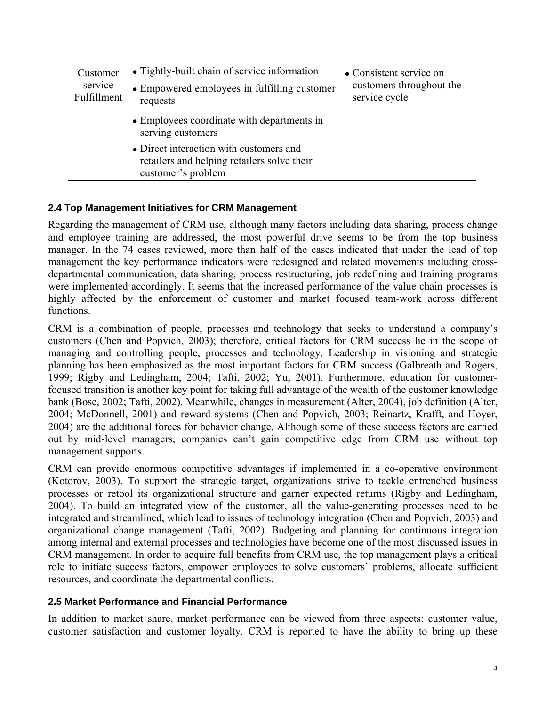| Customer<br>service<br>Fulfillment | • Tightly-built chain of service information                                                                 | • Consistent service on<br>customers throughout the<br>service cycle |
|------------------------------------|--------------------------------------------------------------------------------------------------------------|----------------------------------------------------------------------|
|                                    | • Empowered employees in fulfilling customer<br>requests                                                     |                                                                      |
|                                    | • Employees coordinate with departments in<br>serving customers                                              |                                                                      |
|                                    | • Direct interaction with customers and<br>retailers and helping retailers solve their<br>customer's problem |                                                                      |

## **2.4 Top Management Initiatives for CRM Management**

Regarding the management of CRM use, although many factors including data sharing, process change and employee training are addressed, the most powerful drive seems to be from the top business manager. In the 74 cases reviewed, more than half of the cases indicated that under the lead of top management the key performance indicators were redesigned and related movements including crossdepartmental communication, data sharing, process restructuring, job redefining and training programs were implemented accordingly. It seems that the increased performance of the value chain processes is highly affected by the enforcement of customer and market focused team-work across different functions.

CRM is a combination of people, processes and technology that seeks to understand a company's customers (Chen and Popvich, 2003); therefore, critical factors for CRM success lie in the scope of managing and controlling people, processes and technology. Leadership in visioning and strategic planning has been emphasized as the most important factors for CRM success (Galbreath and Rogers, 1999; Rigby and Ledingham, 2004; Tafti, 2002; Yu, 2001). Furthermore, education for customerfocused transition is another key point for taking full advantage of the wealth of the customer knowledge bank (Bose, 2002; Tafti, 2002). Meanwhile, changes in measurement (Alter, 2004), job definition (Alter, 2004; McDonnell, 2001) and reward systems (Chen and Popvich, 2003; Reinartz, Krafft, and Hoyer, 2004) are the additional forces for behavior change. Although some of these success factors are carried out by mid-level managers, companies can't gain competitive edge from CRM use without top management supports.

CRM can provide enormous competitive advantages if implemented in a co-operative environment (Kotorov, 2003). To support the strategic target, organizations strive to tackle entrenched business processes or retool its organizational structure and garner expected returns (Rigby and Ledingham, 2004). To build an integrated view of the customer, all the value-generating processes need to be integrated and streamlined, which lead to issues of technology integration (Chen and Popvich, 2003) and organizational change management (Tafti, 2002). Budgeting and planning for continuous integration among internal and external processes and technologies have become one of the most discussed issues in CRM management. In order to acquire full benefits from CRM use, the top management plays a critical role to initiate success factors, empower employees to solve customers' problems, allocate sufficient resources, and coordinate the departmental conflicts.

### **2.5 Market Performance and Financial Performance**

In addition to market share, market performance can be viewed from three aspects: customer value, customer satisfaction and customer loyalty. CRM is reported to have the ability to bring up these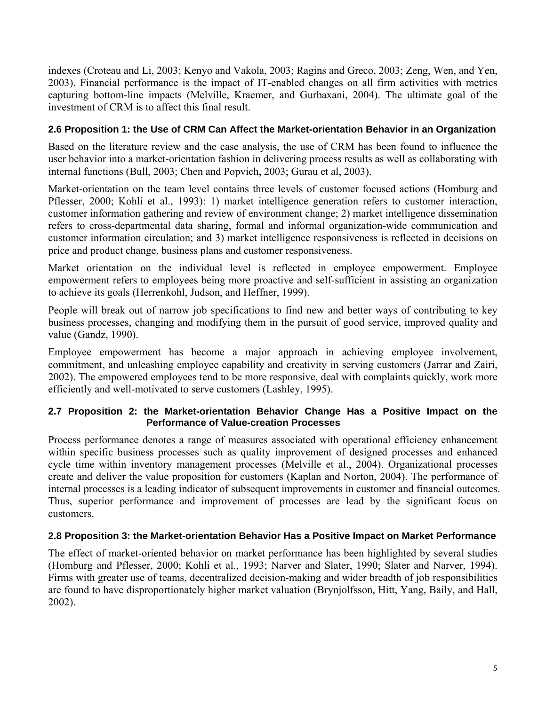indexes (Croteau and Li, 2003; Kenyo and Vakola, 2003; Ragins and Greco, 2003; Zeng, Wen, and Yen, 2003). Financial performance is the impact of IT-enabled changes on all firm activities with metrics capturing bottom-line impacts (Melville, Kraemer, and Gurbaxani, 2004). The ultimate goal of the investment of CRM is to affect this final result.

## **2.6 Proposition 1: the Use of CRM Can Affect the Market-orientation Behavior in an Organization**

Based on the literature review and the case analysis, the use of CRM has been found to influence the user behavior into a market-orientation fashion in delivering process results as well as collaborating with internal functions (Bull, 2003; Chen and Popvich, 2003; Gurau et al, 2003).

Market-orientation on the team level contains three levels of customer focused actions (Homburg and Pflesser, 2000; Kohli et al., 1993): 1) market intelligence generation refers to customer interaction, customer information gathering and review of environment change; 2) market intelligence dissemination refers to cross-departmental data sharing, formal and informal organization-wide communication and customer information circulation; and 3) market intelligence responsiveness is reflected in decisions on price and product change, business plans and customer responsiveness.

Market orientation on the individual level is reflected in employee empowerment. Employee empowerment refers to employees being more proactive and self-sufficient in assisting an organization to achieve its goals (Herrenkohl, Judson, and Heffner, 1999).

People will break out of narrow job specifications to find new and better ways of contributing to key business processes, changing and modifying them in the pursuit of good service, improved quality and value (Gandz, 1990).

Employee empowerment has become a major approach in achieving employee involvement, commitment, and unleashing employee capability and creativity in serving customers (Jarrar and Zairi, 2002). The empowered employees tend to be more responsive, deal with complaints quickly, work more efficiently and well-motivated to serve customers (Lashley, 1995).

## **2.7 Proposition 2: the Market-orientation Behavior Change Has a Positive Impact on the Performance of Value-creation Processes**

Process performance denotes a range of measures associated with operational efficiency enhancement within specific business processes such as quality improvement of designed processes and enhanced cycle time within inventory management processes (Melville et al., 2004). Organizational processes create and deliver the value proposition for customers (Kaplan and Norton, 2004). The performance of internal processes is a leading indicator of subsequent improvements in customer and financial outcomes. Thus, superior performance and improvement of processes are lead by the significant focus on customers.

## **2.8 Proposition 3: the Market-orientation Behavior Has a Positive Impact on Market Performance**

The effect of market-oriented behavior on market performance has been highlighted by several studies (Homburg and Pflesser, 2000; Kohli et al., 1993; Narver and Slater, 1990; Slater and Narver, 1994). Firms with greater use of teams, decentralized decision-making and wider breadth of job responsibilities are found to have disproportionately higher market valuation (Brynjolfsson, Hitt, Yang, Baily, and Hall, 2002).